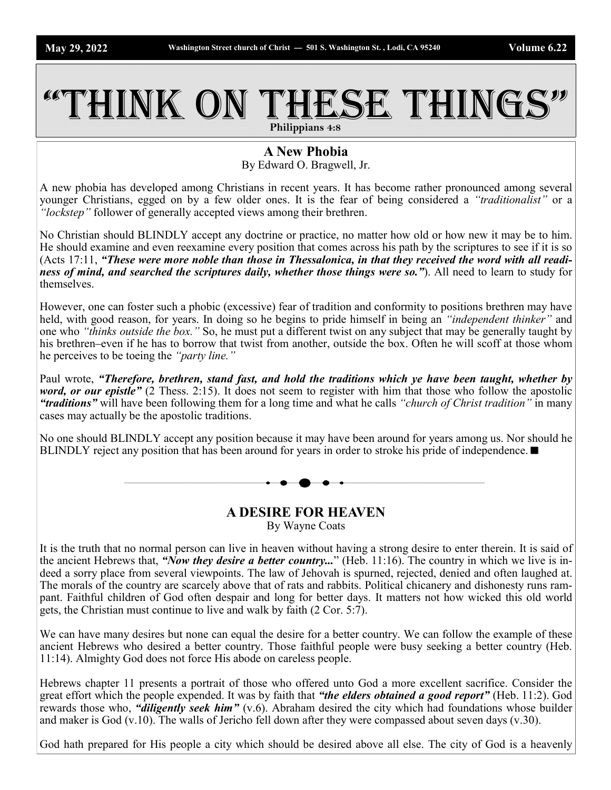## THINK ON THESE THINGS **Philippians 4:8**

**A New Phobia**

By Edward O. Bragwell, Jr.

A new phobia has developed among Christians in recent years. It has become rather pronounced among several younger Christians, egged on by a few older ones. It is the fear of being considered a *"traditionalist"* or a *"lockstep"* follower of generally accepted views among their brethren.

No Christian should BLINDLY accept any doctrine or practice, no matter how old or how new it may be to him. He should examine and even reexamine every position that comes across his path by the scriptures to see if it is so (Acts 17:11, *"These were more noble than those in Thessalonica, in that they received the word with all readiness of mind, and searched the scriptures daily, whether those things were so."*). All need to learn to study for themselves.

However, one can foster such a phobic (excessive) fear of tradition and conformity to positions brethren may have held, with good reason, for years. In doing so he begins to pride himself in being an *"independent thinker"* and one who *"thinks outside the box."* So, he must put a different twist on any subject that may be generally taught by his brethren–even if he has to borrow that twist from another, outside the box. Often he will scoff at those whom he perceives to be toeing the *"party line."*

Paul wrote, *"Therefore, brethren, stand fast, and hold the traditions which ye have been taught, whether by word, or our epistle"* (2 Thess. 2:15). It does not seem to register with him that those who follow the apostolic *"traditions"* will have been following them for a long time and what he calls *"church of Christ tradition"* in many cases may actually be the apostolic traditions.

No one should BLINDLY accept any position because it may have been around for years among us. Nor should he BLINDLY reject any position that has been around for years in order to stroke his pride of independence.  $\blacksquare$ 

> **A DESIRE FOR HEAVEN** By Wayne Coats

It is the truth that no normal person can live in heaven without having a strong desire to enter therein. It is said of the ancient Hebrews that, *"Now they desire a better country...*" (Heb. 11:16). The country in which we live is indeed a sorry place from several viewpoints. The law of Jehovah is spurned, rejected, denied and often laughed at. The morals of the country are scarcely above that of rats and rabbits. Political chicanery and dishonesty runs rampant. Faithful children of God often despair and long for better days. It matters not how wicked this old world gets, the Christian must continue to live and walk by faith (2 Cor. 5:7).

We can have many desires but none can equal the desire for a better country. We can follow the example of these ancient Hebrews who desired a better country. Those faithful people were busy seeking a better country (Heb. 11:14). Almighty God does not force His abode on careless people.

Hebrews chapter 11 presents a portrait of those who offered unto God a more excellent sacrifice. Consider the great effort which the people expended. It was by faith that *"the elders obtained a good report"* (Heb. 11:2). God rewards those who, *"diligently seek him"* (v.6). Abraham desired the city which had foundations whose builder and maker is God (v.10). The walls of Jericho fell down after they were compassed about seven days (v.30).

God hath prepared for His people a city which should be desired above all else. The city of God is a heavenly